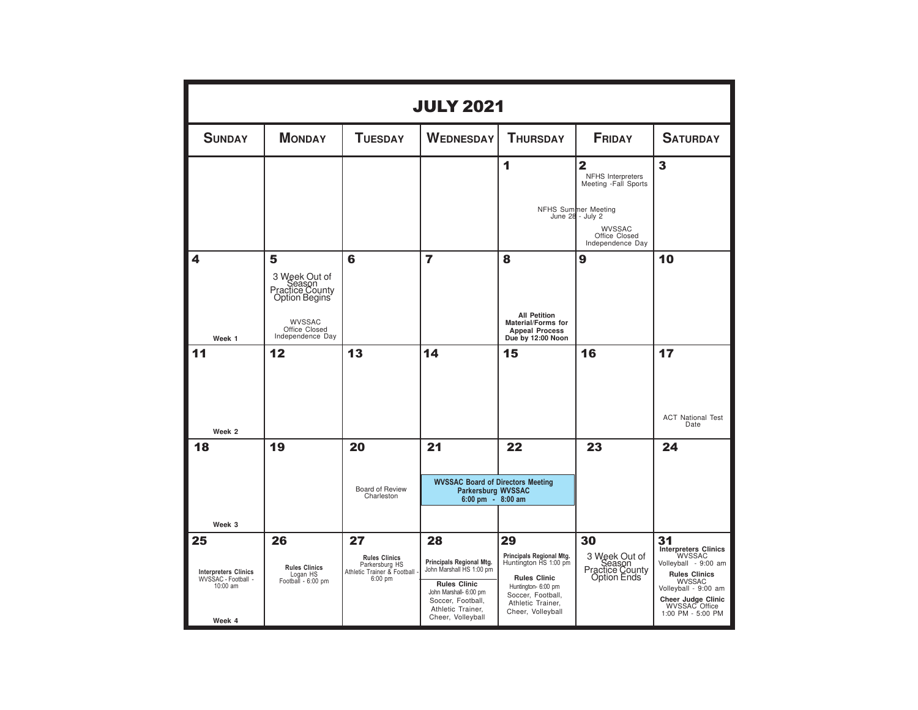|                                                                                | <b>JULY 2021</b>                                                                                                       |                                                                                          |                                                                                                                                                                            |                                                                                                                                                                      |                                                                                                                                                                              |                                                                                                                                                                                                         |  |  |  |  |
|--------------------------------------------------------------------------------|------------------------------------------------------------------------------------------------------------------------|------------------------------------------------------------------------------------------|----------------------------------------------------------------------------------------------------------------------------------------------------------------------------|----------------------------------------------------------------------------------------------------------------------------------------------------------------------|------------------------------------------------------------------------------------------------------------------------------------------------------------------------------|---------------------------------------------------------------------------------------------------------------------------------------------------------------------------------------------------------|--|--|--|--|
| <b>SUNDAY</b>                                                                  | <b>MONDAY</b>                                                                                                          | <b>TUESDAY</b>                                                                           | <b>WEDNESDAY</b>                                                                                                                                                           | <b>THURSDAY</b>                                                                                                                                                      | <b>FRIDAY</b>                                                                                                                                                                | <b>SATURDAY</b>                                                                                                                                                                                         |  |  |  |  |
|                                                                                |                                                                                                                        |                                                                                          |                                                                                                                                                                            | 1                                                                                                                                                                    | $\overline{\mathbf{2}}$<br><b>NFHS</b> Interpreters<br>Meeting -Fall Sports<br>NFHS Summer Meeting<br>June 28 - July 2<br><b>WVSSAC</b><br>Office Closed<br>Independence Day | 3                                                                                                                                                                                                       |  |  |  |  |
| 4<br>Week 1                                                                    | 5<br>3 Week Out of<br>Season<br>Practice County<br>Option Begins<br><b>WVSSAC</b><br>Office Closed<br>Independence Day | 6                                                                                        | $\overline{7}$                                                                                                                                                             | 8<br><b>All Petition</b><br>Material/Forms for<br><b>Appeal Process</b><br>Due by 12:00 Noon                                                                         | 9                                                                                                                                                                            | 10                                                                                                                                                                                                      |  |  |  |  |
| 11<br>Week <sub>2</sub>                                                        | 12                                                                                                                     | 13                                                                                       | 14                                                                                                                                                                         | 15                                                                                                                                                                   | 16                                                                                                                                                                           | 17<br><b>ACT National Test</b><br>Date                                                                                                                                                                  |  |  |  |  |
| 18<br>Week 3                                                                   | 19                                                                                                                     | 20<br>Board of Review<br>Charleston                                                      | 21<br><b>WVSSAC Board of Directors Meeting</b><br><b>Parkersburg WVSSAC</b><br>6:00 pm - 8:00 am                                                                           | 22                                                                                                                                                                   | 23                                                                                                                                                                           | 24                                                                                                                                                                                                      |  |  |  |  |
| 25<br><b>Interpreters Clinics</b><br>WVSSAC - Football -<br>10:00 am<br>Week 4 | 26<br><b>Rules Clinics</b><br>Logan HS<br>Football - 6:00 pm                                                           | 27<br><b>Rules Clinics</b><br>Parkersburg HS<br>Athletic Trainer & Football<br>$6:00$ pm | 28<br>Principals Regional Mtg.<br>John Marshall HS 1:00 pm<br><b>Rules Clinic</b><br>John Marshall- 6:00 pm<br>Soccer, Football,<br>Athletic Trainer,<br>Cheer, Volleyball | 29<br>Principals Regional Mtg.<br>Huntington HS 1:00 pm<br><b>Rules Clinic</b><br>Huntington- 6:00 pm<br>Soccer, Football,<br>Athletic Trainer,<br>Cheer, Volleyball | 30<br>3 Week Out of<br>Season<br>Practice County<br>Option Ends                                                                                                              | 31<br><b>Interpreters Clinics</b><br><b>WVSSAC</b><br>Volleyball - 9:00 am<br><b>Rules Clinics</b><br>WVSSAC<br>Volleyball - 9:00 am<br><b>Cheer Judge Clinic</b><br>WVSSAC Office<br>1:00 PM - 5:00 PM |  |  |  |  |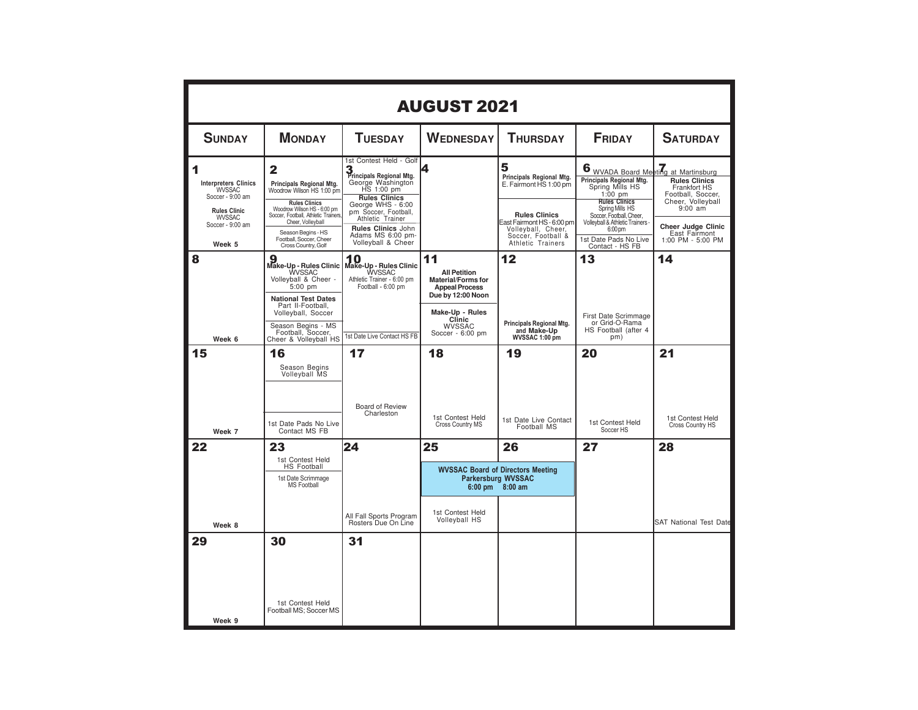|                                                                                                                                             | <b>AUGUST 2021</b>                                                                                                                                                                                                                                    |                                                                                                                                                                                                                                                       |                                                                                                                                                                        |                                                                                                                                                                                |                                                                                                                                                                                                                                                                    |                                                                                                                                                                |  |  |  |  |
|---------------------------------------------------------------------------------------------------------------------------------------------|-------------------------------------------------------------------------------------------------------------------------------------------------------------------------------------------------------------------------------------------------------|-------------------------------------------------------------------------------------------------------------------------------------------------------------------------------------------------------------------------------------------------------|------------------------------------------------------------------------------------------------------------------------------------------------------------------------|--------------------------------------------------------------------------------------------------------------------------------------------------------------------------------|--------------------------------------------------------------------------------------------------------------------------------------------------------------------------------------------------------------------------------------------------------------------|----------------------------------------------------------------------------------------------------------------------------------------------------------------|--|--|--|--|
| <b>SUNDAY</b>                                                                                                                               | <b>MONDAY</b>                                                                                                                                                                                                                                         | <b>TUESDAY</b>                                                                                                                                                                                                                                        | <b>WEDNESDAY</b>                                                                                                                                                       | <b>THURSDAY</b>                                                                                                                                                                | <b>FRIDAY</b>                                                                                                                                                                                                                                                      | <b>SATURDAY</b>                                                                                                                                                |  |  |  |  |
| 1<br><b>Interpreters Clinics</b><br><b>WVSSAC</b><br>Soccer - 9:00 am<br><b>Rules Clinic</b><br><b>WVSSAC</b><br>Soccer - 9:00 am<br>Week 5 | 2<br>Principals Regional Mtg.<br>Woodrow Wilson HS 1:00 pm<br><b>Rules Clinics</b><br>Woodrow Wilson HS - 6:00 pm<br>Soccer, Football, Athletic Trainers<br>Cheer, Volleyball<br>Season Begins - HS<br>Football, Soccer, Cheer<br>Cross Country, Golf | 1st Contest Held - Golf<br>3<br>Principals Regional Mtg.<br>George Washington<br>HS 1:00 pm<br><b>Rules Clinics</b><br>George WHS - 6:00<br>pm Soccer, Football,<br>Athletic Trainer<br>Rules Clinics John<br>Adams MS 6:00 pm-<br>Volleyball & Cheer |                                                                                                                                                                        | 5<br>Principals Regional Mtg.<br>E. Fairmont HS 1:00 pm<br><b>Rules Clinics</b><br>East Fairmont HS - 6:00 pm<br>Volleyball, Cheer,<br>Soccer, Football &<br>Athletic Trainers | 6 WVADA Board Meeting at Martinsburg<br>Principals Regional Mtg.<br>Spring Mills HS<br>$1:00$ pm<br><b>Rules Clinics</b><br>Spring Mills HS<br>Soccer, Football, Cheer,<br>Volleyball & Athletic Trainers -<br>6:00 pm<br>1st Date Pads No Live<br>Contact - HS FB | <b>Rules Clinics</b><br>Frankfort HS<br>Football, Soccer,<br>Cheer, Volleyball<br>$9:00$ am<br><b>Cheer Judge Clinic</b><br>East Fairmont<br>1:00 PM - 5:00 PM |  |  |  |  |
| 8<br>Week 6                                                                                                                                 | Make-Up - Rules Clinic<br><b>WVSSAC</b><br>Volleyball & Cheer -<br>5:00 pm<br><b>National Test Dates</b><br>Part II-Football,<br>Volleyball, Soccer<br>Season Begins - MS<br>Football, Soccer,<br>Cheer & Volleyball HS                               | Make-Up - Rules Clinic<br><b>WVSSAC</b><br>Athletic Trainer - 6:00 pm<br>Football - 6:00 pm<br>1st Date Live Contact HS FB                                                                                                                            | 11<br><b>All Petition</b><br><b>Material/Forms for</b><br><b>Appeal Process</b><br>Due by 12:00 Noon<br>Make-Up - Rules<br>Clinic<br><b>WVSSAC</b><br>Soccer - 6:00 pm | 12<br>Principals Regional Mtg.<br>and Make-Up<br>WVSSAC 1:00 pm                                                                                                                | 13<br>First Date Scrimmage<br>or Grid-O-Rama<br>HS Football (after 4<br>pm)                                                                                                                                                                                        | 14                                                                                                                                                             |  |  |  |  |
| 15<br>Week 7                                                                                                                                | 16<br>Season Begins<br>Volleyball MS<br>1st Date Pads No Live<br>Contact MS FB                                                                                                                                                                        | 17<br>Board of Review<br>Charleston                                                                                                                                                                                                                   | 18<br>1st Contest Held<br>Cross Country MS                                                                                                                             | 19<br>1st Date Live Contact<br>Football MS                                                                                                                                     | 20<br>1st Contest Held<br>Soccer HS                                                                                                                                                                                                                                | 21<br>1st Contest Held<br>Cross Country HS                                                                                                                     |  |  |  |  |
| 22<br>Week 8                                                                                                                                | 23<br>1st Contest Held<br><b>HS Football</b><br>1st Date Scrimmage<br><b>MS Football</b>                                                                                                                                                              | 24<br>All Fall Sports Program<br>Rosters Due On Line                                                                                                                                                                                                  | 25<br>1st Contest Held<br><b>Volleyball HS</b>                                                                                                                         | 26<br><b>WVSSAC Board of Directors Meeting</b><br>Parkersburg WVSSAC<br>6:00 pm 8:00 am                                                                                        | 27                                                                                                                                                                                                                                                                 | 28<br><b>SAT National Test Date</b>                                                                                                                            |  |  |  |  |
| 29<br>Week <sub>9</sub>                                                                                                                     | 30<br>1st Contest Held<br>Football MS; Soccer MS                                                                                                                                                                                                      | 31                                                                                                                                                                                                                                                    |                                                                                                                                                                        |                                                                                                                                                                                |                                                                                                                                                                                                                                                                    |                                                                                                                                                                |  |  |  |  |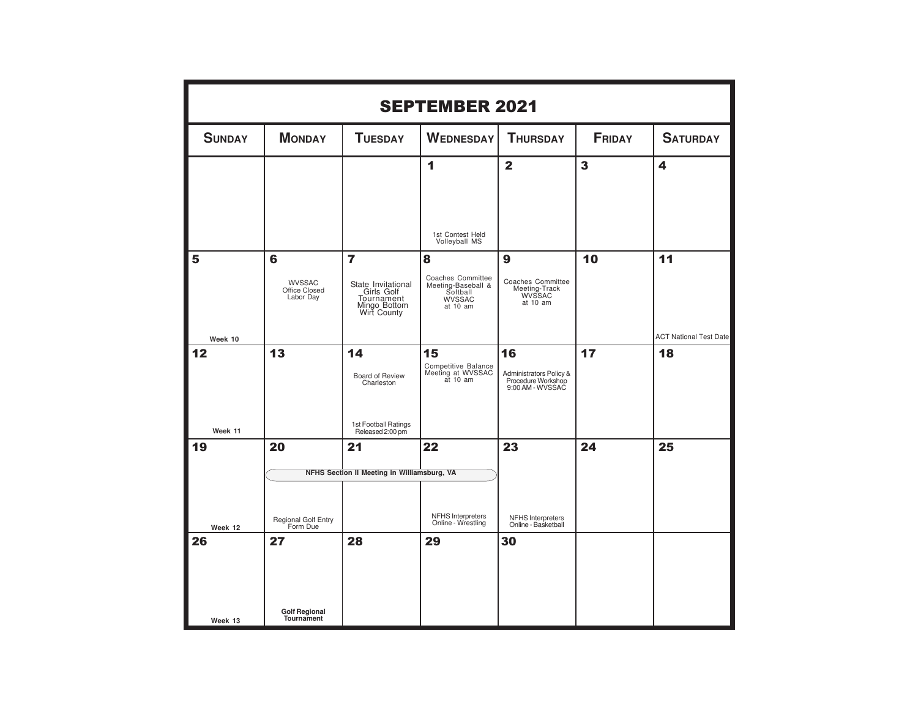| <b>SEPTEMBER 2021</b> |                                             |                                                                                 |                                                                                  |                                                                         |               |                               |  |  |  |
|-----------------------|---------------------------------------------|---------------------------------------------------------------------------------|----------------------------------------------------------------------------------|-------------------------------------------------------------------------|---------------|-------------------------------|--|--|--|
| <b>SUNDAY</b>         | <b>MONDAY</b>                               | <b>TUESDAY</b>                                                                  | <b>WEDNESDAY</b>                                                                 | <b>THURSDAY</b>                                                         | <b>FRIDAY</b> | <b>SATURDAY</b>               |  |  |  |
|                       |                                             |                                                                                 | $\overline{\mathbf{1}}$<br>1st Contest Held<br>Volleyball MS                     | $\overline{2}$                                                          | 3             | $\overline{\mathbf{4}}$       |  |  |  |
| 5                     | 6                                           | $\overline{7}$                                                                  | 8                                                                                | $\boldsymbol{9}$                                                        | 10            | 11                            |  |  |  |
|                       | <b>WVSSAC</b><br>Office Closed<br>Labor Day | State Invitational<br>Girls Golf<br>Tournament<br>Mingo Bottom<br>Wirt County   | Coaches Committee<br>Meeting-Baseball &<br>Softball<br><b>WVSSAC</b><br>at 10 am | Coaches Committee<br>Meeting-Track<br>WVSSAC<br>at 10 am                |               |                               |  |  |  |
| Week 10               |                                             |                                                                                 |                                                                                  |                                                                         |               | <b>ACT National Test Date</b> |  |  |  |
| 12<br>Week 11         | 13                                          | 14<br>Board of Review<br>Charleston<br>1st Football Ratings<br>Released 2:00 pm | 15<br>Competitive Balance<br>Meeting at WVSSAC<br>at 10 am                       | 16<br>Administrators Policy &<br>Procedure Workshop<br>9:00 AM - WVSSAC | 17            | 18                            |  |  |  |
| 19                    | 20                                          | 21                                                                              | 22                                                                               | 23                                                                      | 24            | 25                            |  |  |  |
|                       |                                             | NFHS Section II Meeting in Williamsburg, VA                                     |                                                                                  |                                                                         |               |                               |  |  |  |
| Week 12               | Regional Golf Entry<br>Form Due             |                                                                                 | NFHS Interpreters<br>Online - Wrestling                                          | NFHS Interpreters<br>Online - Basketball                                |               |                               |  |  |  |
| 26<br>Week 13         | 27<br><b>Golf Regional</b><br>Tournament    | 28                                                                              | 29                                                                               | 30                                                                      |               |                               |  |  |  |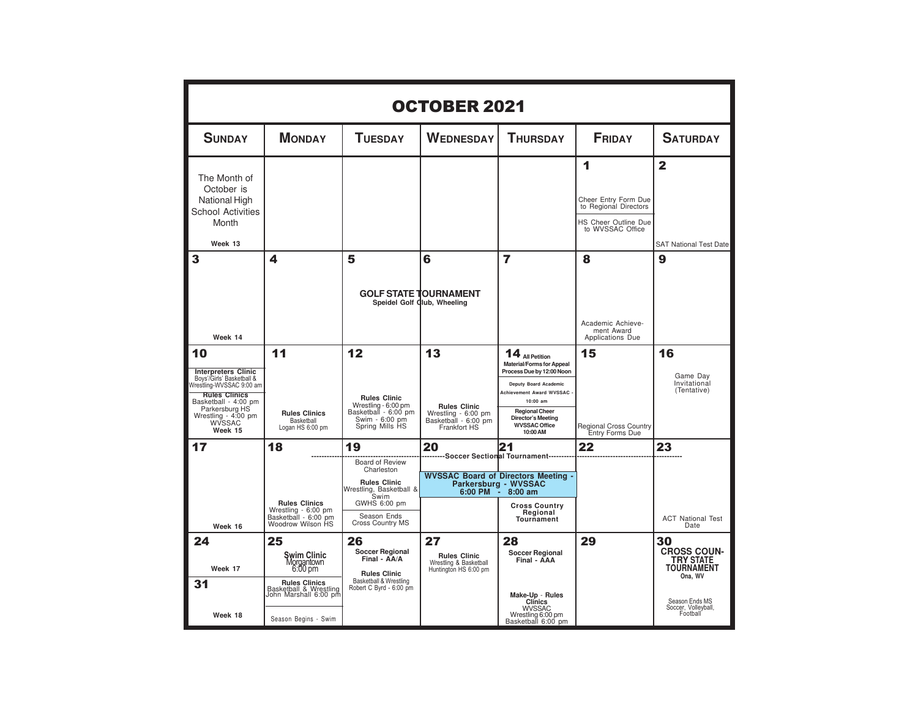| <b>OCTOBER 2021</b>                                                                                                                                                                                     |                                                                                                                                               |                                                                                                                                                         |                                                                                          |                                                                                                                                                                                                                                               |                                                                                                |                                                                                                                                   |  |  |  |
|---------------------------------------------------------------------------------------------------------------------------------------------------------------------------------------------------------|-----------------------------------------------------------------------------------------------------------------------------------------------|---------------------------------------------------------------------------------------------------------------------------------------------------------|------------------------------------------------------------------------------------------|-----------------------------------------------------------------------------------------------------------------------------------------------------------------------------------------------------------------------------------------------|------------------------------------------------------------------------------------------------|-----------------------------------------------------------------------------------------------------------------------------------|--|--|--|
| <b>SUNDAY</b>                                                                                                                                                                                           | <b>MONDAY</b>                                                                                                                                 | <b>TUESDAY</b>                                                                                                                                          | <b>WEDNESDAY</b>                                                                         | <b>THURSDAY</b>                                                                                                                                                                                                                               | <b>FRIDAY</b>                                                                                  | <b>SATURDAY</b>                                                                                                                   |  |  |  |
| The Month of<br>October is<br>National High<br><b>School Activities</b><br>Month<br>Week 13                                                                                                             |                                                                                                                                               |                                                                                                                                                         |                                                                                          |                                                                                                                                                                                                                                               | 1<br>Cheer Entry Form Due<br>to Regional Directors<br>HS Cheer Outline Due<br>to WVSSAC Office | $\mathbf{2}$<br><b>SAT National Test Date</b>                                                                                     |  |  |  |
| 3<br>Week 14                                                                                                                                                                                            | 4                                                                                                                                             | 5                                                                                                                                                       | 6<br><b>GOLF STATE TOURNAMENT</b><br>Speidel Golf Club, Wheeling                         | 7                                                                                                                                                                                                                                             | 8<br>Academic Achieve-<br>ment Award<br>Applications Due                                       | 9                                                                                                                                 |  |  |  |
| 10<br><b>Interpreters Clinic</b><br>Boys'/Girls' Basketball &<br>Wrestling-WVSSAC 9:00 am<br><b>Rules Clinics</b><br>Basketball - 4:00 pm<br>Parkersburg HS<br>Wrestling - 4:00 pm<br>WVSSAC<br>Week 15 | 11<br><b>Rules Clinics</b><br>Basketball<br>Logan HS 6:00 pm                                                                                  | 12<br><b>Rules Clinic</b><br>Wrestling - 6:00 pm<br>Basketball - 6:00 pm<br>Swim - 6:00 pm<br>Spring Mills HS                                           | 13<br><b>Rules Clinic</b><br>Wrestling - 6:00 pm<br>Basketball - 6:00 pm<br>Frankfort HS | $14$ All Petition<br><b>Material/Forms for Appeal</b><br>Process Due by 12:00 Noon<br>Deputy Board Academic<br>Achievement Award WVSSAC<br>10:00 am<br><b>Regional Cheer</b><br><b>Director's Meeting</b><br><b>WVSSAC Office</b><br>10:00 AM | 15<br><b>Regional Cross Country</b><br>Entry Forms Due                                         | 16<br>Game Day<br>Invitational<br>(Tentative)                                                                                     |  |  |  |
| 17<br>Week 16                                                                                                                                                                                           | 18<br><b>Rules Clinics</b><br>Wrestling - 6:00 pm<br>Basketball - 6:00 pm<br>Woodrow Wilson HS                                                | 19<br>Board of Review<br>Charleston<br><b>Rules Clinic</b><br>Wrestling, Basketball &<br>Swim<br>GWHS 6:00 pm<br>Season Ends<br><b>Cross Country MS</b> | 20<br>6:00 PM                                                                            | 21<br>------Soccer Sectional Tournament-------<br><b>WVSSAC Board of Directors Meeting -</b><br>Parkersburg - WVSSAC<br>$8:00$ am<br>$\sim$<br><b>Cross Country</b><br>Regional<br>Tournament                                                 | 22                                                                                             | 23<br><b>ACT National Test</b><br>Date                                                                                            |  |  |  |
| 24<br>Week 17<br>31<br>Week 18                                                                                                                                                                          | 25<br>Şwim Clinic<br>Morgantown<br>6:00 pm<br><b>Rules Clinics</b><br>Basketball & Wrestling<br>John Marshall 6:00 pm<br>Season Begins - Swim | 26<br><b>Soccer Regional</b><br>Final - AA/A<br><b>Rules Clinic</b><br>Basketball & Wrestling<br>Robert C Byrd - 6:00 pm                                | 27<br><b>Rules Clinic</b><br>Wrestling & Basketball<br>Huntington HS 6:00 pm             | 28<br><b>Soccer Regional</b><br>Final - AAA<br>Make-Up - Rules<br><b>Clinics</b><br><b>WVSSAC</b><br>Wrestling 6:00 pm<br>Basketball 6:00 pm                                                                                                  | 29                                                                                             | 30<br><b>CROSS COUN-</b><br><b>TRY STATE</b><br><b>TOURNAMENT</b><br>Ona, WV<br>Season Ends MS<br>Soccer, Volleyball,<br>Football |  |  |  |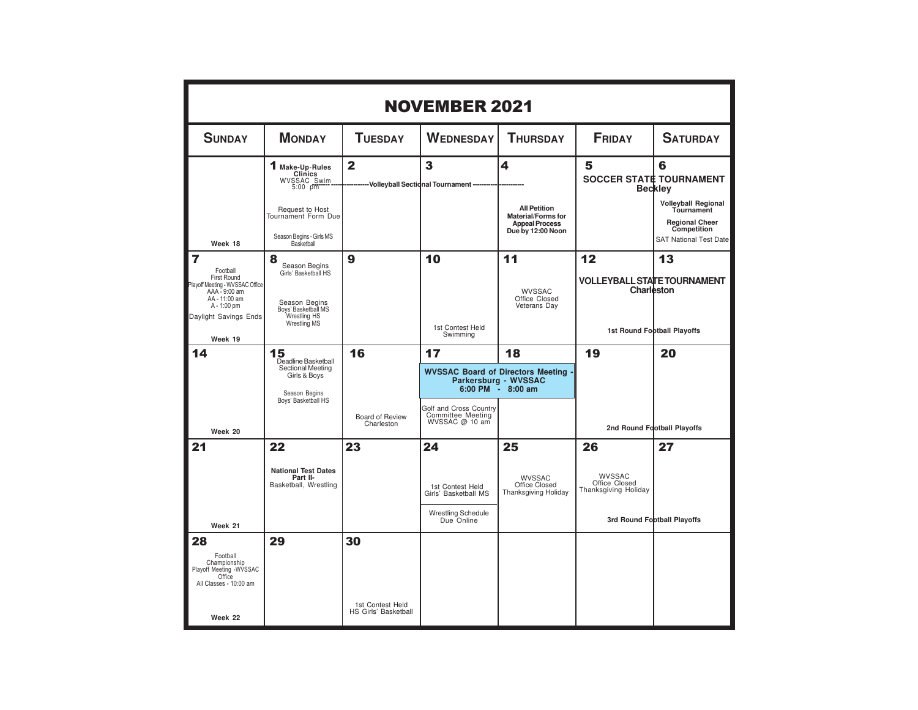|                                                                                                                          | <b>NOVEMBER 2021</b>                                                             |                               |                                                               |                                                                                                |                                                  |                                                                                                                   |  |  |  |
|--------------------------------------------------------------------------------------------------------------------------|----------------------------------------------------------------------------------|-------------------------------|---------------------------------------------------------------|------------------------------------------------------------------------------------------------|--------------------------------------------------|-------------------------------------------------------------------------------------------------------------------|--|--|--|
| <b>SUNDAY</b>                                                                                                            | <b>MONDAY</b>                                                                    | <b>TUESDAY</b>                | <b>WEDNESDAY</b>                                              | <b>THURSDAY</b>                                                                                | <b>FRIDAY</b>                                    | <b>SATURDAY</b>                                                                                                   |  |  |  |
|                                                                                                                          | 1 Make-Up-Rules<br><b>Clinics</b><br>WVSSAC Swim                                 | $\overline{2}$                | 3<br>-- Volleyball Sectional Tournament                       | 4                                                                                              | 5                                                | 6<br><b>SOCCER STATE TOURNAMENT</b><br><b>Beckley</b>                                                             |  |  |  |
| Week 18                                                                                                                  | Request to Host<br>Tournament Form Due<br>Season Begins - Girls MS<br>Basketball |                               |                                                               | <b>All Petition</b><br><b>Material/Forms for</b><br><b>Appeal Process</b><br>Due by 12:00 Noon |                                                  | <b>Volleyball Regional</b><br>Tournament<br><b>Regional Cheer</b><br>Competition<br><b>SAT National Test Date</b> |  |  |  |
| $\overline{7}$<br>Football                                                                                               | 8<br>Season Begins                                                               | 9                             | 10                                                            | 11                                                                                             | 12                                               | 13                                                                                                                |  |  |  |
| First Round<br>Playoff Meeting - WVSSAC Office<br>AAA - 9:00 am<br>AA - 11:00 am<br>A - 1:00 pm<br>Daylight Savings Ends | Girls' Basketball HS<br>Season Begins<br>Boys' Basketball MS<br>Wrestling HS     |                               |                                                               | <b>WVSSAC</b><br>Office Closed<br>Veterans Day                                                 | <b>VOLLEYBALL STATE TOURNAMENT</b><br>Charleston |                                                                                                                   |  |  |  |
| Week 19                                                                                                                  | Wrestling MS                                                                     |                               | 1st Contest Held<br>Swimming                                  |                                                                                                |                                                  | 1st Round Football Playoffs                                                                                       |  |  |  |
| 14                                                                                                                       | 15<br>Deadline Basketball                                                        | 16                            | 17                                                            | 18                                                                                             | 19                                               | 20                                                                                                                |  |  |  |
|                                                                                                                          | Sectional Meeting<br>Girls & Boys<br>Season Begins<br>Boys' Basketball HS        |                               | 6:00 PM                                                       | WVSSAC Board of Directors Meeting .<br>Parkersburg - WVSSAC<br>$8:00$ am                       |                                                  |                                                                                                                   |  |  |  |
| Week 20                                                                                                                  |                                                                                  | Board of Review<br>Charleston | Golf and Cross Country<br>Committee Meeting<br>WVSSAC @ 10 am |                                                                                                |                                                  | 2nd Round Football Playoffs                                                                                       |  |  |  |
| 21                                                                                                                       | 22                                                                               | 23                            | 24                                                            | 25                                                                                             | 26                                               | 27                                                                                                                |  |  |  |
|                                                                                                                          | <b>National Test Dates</b><br>Part II-<br>Basketball, Wrestling                  |                               | 1st Contest Held<br>Girls' Basketball MS                      | <b>WVSSAC</b><br>Office Closed<br><b>Thanksgiving Holiday</b>                                  | WVSSAC<br>Office Closed<br>Thanksgiving Holiday  |                                                                                                                   |  |  |  |
| Week 21                                                                                                                  |                                                                                  |                               | <b>Wrestling Schedule</b><br>Due Online                       |                                                                                                |                                                  | 3rd Round Football Playoffs                                                                                       |  |  |  |
| 28<br>Football<br>Championship<br>Playoff Meeting -WVSSAC<br>Office<br>All Classes - 10:00 am                            | 29                                                                               | 30<br>1st Contest Held        |                                                               |                                                                                                |                                                  |                                                                                                                   |  |  |  |
| Week 22                                                                                                                  |                                                                                  | HS Girls' Basketball          |                                                               |                                                                                                |                                                  |                                                                                                                   |  |  |  |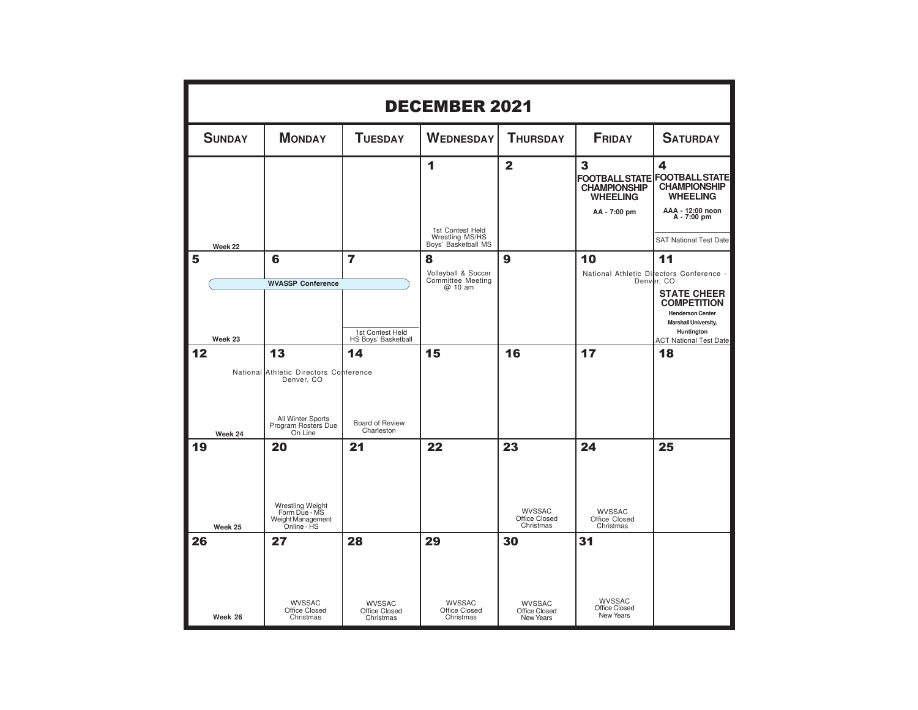|    | <b>DECEMBER 2021</b> |                                                                                                                   |                                                           |                                                                 |                                                   |                                                                                      |                                                                                                                                                                                  |  |  |
|----|----------------------|-------------------------------------------------------------------------------------------------------------------|-----------------------------------------------------------|-----------------------------------------------------------------|---------------------------------------------------|--------------------------------------------------------------------------------------|----------------------------------------------------------------------------------------------------------------------------------------------------------------------------------|--|--|
|    | <b>SUNDAY</b>        | <b>MONDAY</b>                                                                                                     | <b>TUESDAY</b>                                            | <b>WEDNESDAY</b>                                                | <b>THURSDAY</b>                                   | <b>FRIDAY</b>                                                                        | <b>SATURDAY</b>                                                                                                                                                                  |  |  |
|    | Week 22              |                                                                                                                   |                                                           | 1<br>1st Contest Held<br>Wrestling MS/HS<br>Boys' Basketball MS | $\overline{2}$                                    | 3<br><b>FOOTBALL STATE</b><br><b>CHAMPIONSHIP</b><br><b>WHEELING</b><br>AA - 7:00 pm | 4<br><b>FOOTBALL STATE</b><br><b>CHAMPIONSHIP</b><br><b>WHEELING</b><br>AAA - 12:00 noon<br>A - 7:00 pm<br><b>SAT National Test Date</b>                                         |  |  |
| 5  | Week 23              | 6<br><b>WVASSP Conference</b>                                                                                     | $\overline{7}$<br>1st Contest Held<br>HS Boys' Basketball | 8<br>Volleyball & Soccer<br>Committee Meeting<br>@ 10 am        | 9                                                 | 10                                                                                   | 11<br>National Athletic Directors Conference -<br>Denver, CO<br><b>STATE CHEER</b><br><b>COMPETITION</b><br><b>Henderson Center</b><br><b>Marshall University,</b><br>Huntington |  |  |
| 12 | Week 24              | 13<br>National Athletic Directors Conference<br>Denver, CO<br>All Winter Sports<br>Program Rosters Due<br>On Line | 14<br>Board of Review<br>Charleston                       | 15                                                              | 16                                                | 17                                                                                   | <b>ACT National Test Date</b><br>18                                                                                                                                              |  |  |
| 19 | Week 25              | 20<br>Wrestling Weight<br>Form Due - MS<br>Weight Management<br>Online - HS                                       | 21                                                        | 22                                                              | 23<br><b>WVSSAC</b><br>Office Closed<br>Christmas | 24<br>WVSSAC<br>Office Closed<br>Christmas                                           | 25                                                                                                                                                                               |  |  |
| 26 | Week 26              | 27<br><b>WVSSAC</b><br>Office Closed<br>Christmas                                                                 | 28<br><b>WVSSAC</b><br>Office Closed<br>Christmas         | 29<br><b>WVSSAC</b><br>Office Closed<br>Christmas               | 30<br><b>WVSSAC</b><br>Office Closed<br>New Years | 31<br><b>WVSSAC</b><br>Office Closed<br>New Years                                    |                                                                                                                                                                                  |  |  |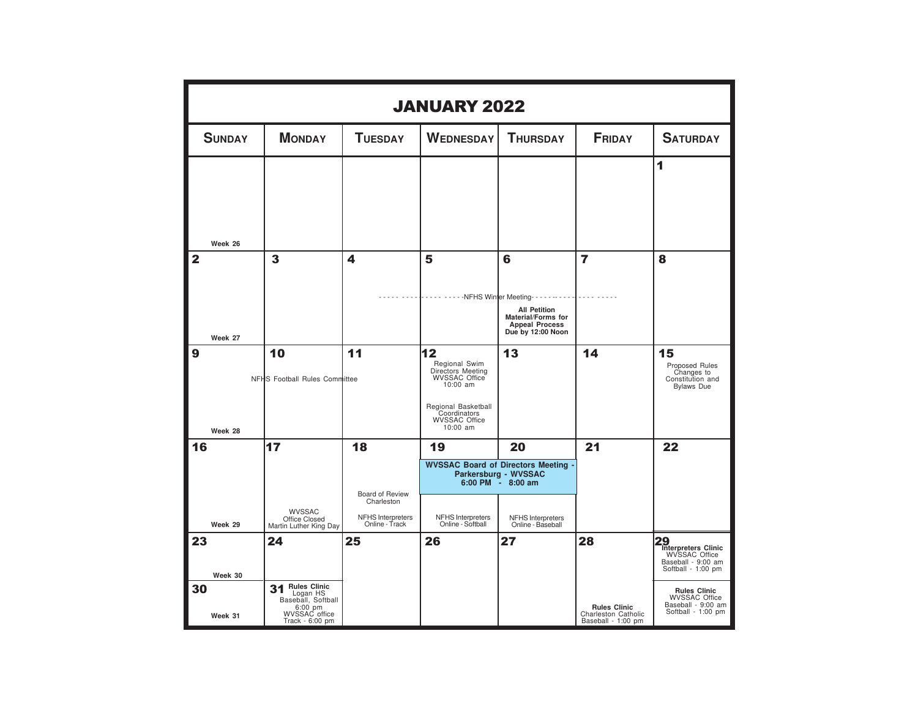|                           | <b>JANUARY 2022</b>                                               |                                                                                   |                                                                                                                                                             |                                                                                                                                         |                                                                  |                                                                                                                                                          |  |  |  |  |
|---------------------------|-------------------------------------------------------------------|-----------------------------------------------------------------------------------|-------------------------------------------------------------------------------------------------------------------------------------------------------------|-----------------------------------------------------------------------------------------------------------------------------------------|------------------------------------------------------------------|----------------------------------------------------------------------------------------------------------------------------------------------------------|--|--|--|--|
| <b>SUNDAY</b>             | <b>MONDAY</b>                                                     | <b>TUESDAY</b>                                                                    | <b>WEDNESDAY</b>                                                                                                                                            | <b>THURSDAY</b>                                                                                                                         | <b>FRIDAY</b>                                                    | <b>SATURDAY</b>                                                                                                                                          |  |  |  |  |
| Week 26                   |                                                                   |                                                                                   |                                                                                                                                                             |                                                                                                                                         |                                                                  | 1                                                                                                                                                        |  |  |  |  |
| $\overline{2}$<br>Week 27 | 3                                                                 | 4                                                                                 | 5<br>- - - - - - - - - NFHS Winter Meeting- - - - -                                                                                                         | 6<br><b>All Petition</b><br>Material/Forms for<br><b>Appeal Process</b><br>Due by 12:00 Noon                                            | 7                                                                | 8                                                                                                                                                        |  |  |  |  |
| 9<br>Week 28              | 10<br>NFHS Football Rules Committee                               | 11                                                                                | 12<br>Regional Swim<br>Directors Meeting<br><b>WVSSAC Office</b><br>$10:00$ am<br>Regional Basketball<br>Coordinators<br><b>WVSSAC Office</b><br>$10:00$ am | 13                                                                                                                                      | 14                                                               | 15<br>Proposed Rules<br>Changes to<br>Constitution and<br><b>Bylaws</b> Due                                                                              |  |  |  |  |
| 16<br>Week 29             | 17<br>WVSSAC<br>Office Closed<br>Martin Luther King Day           | 18<br>Board of Review<br>Charleston<br><b>NFHS Interpreters</b><br>Online - Track | 19<br><b>NFHS Interpreters</b><br>Online - Softball                                                                                                         | 20<br><b>WVSSAC Board of Directors Meeting -</b><br>Parkersburg - WVSSAC<br>6:00 PM - 8:00 am<br>NFHS Interpreters<br>Online - Baseball | 21                                                               | 22                                                                                                                                                       |  |  |  |  |
| 23<br>Week 30<br>30       | 24<br><b>Rules Clinic</b><br>31<br>Logan HS<br>Baseball, Softball | 25                                                                                | 26                                                                                                                                                          | 27                                                                                                                                      | 28                                                               | 29 Interpreters Clinic<br>WVSSAC Office<br>Baseball - 9:00 am<br>Softball - 1:00 pm<br><b>Rules Clinic</b><br><b>WVSSAC Office</b><br>Baseball - 9:00 am |  |  |  |  |
| Week 31                   | 6:00 pm<br>WVSSAC office<br>Track - 6:00 pm                       |                                                                                   |                                                                                                                                                             |                                                                                                                                         | <b>Rules Clinic</b><br>Charleston Catholic<br>Baseball - 1:00 pm | Softball - 1:00 pm                                                                                                                                       |  |  |  |  |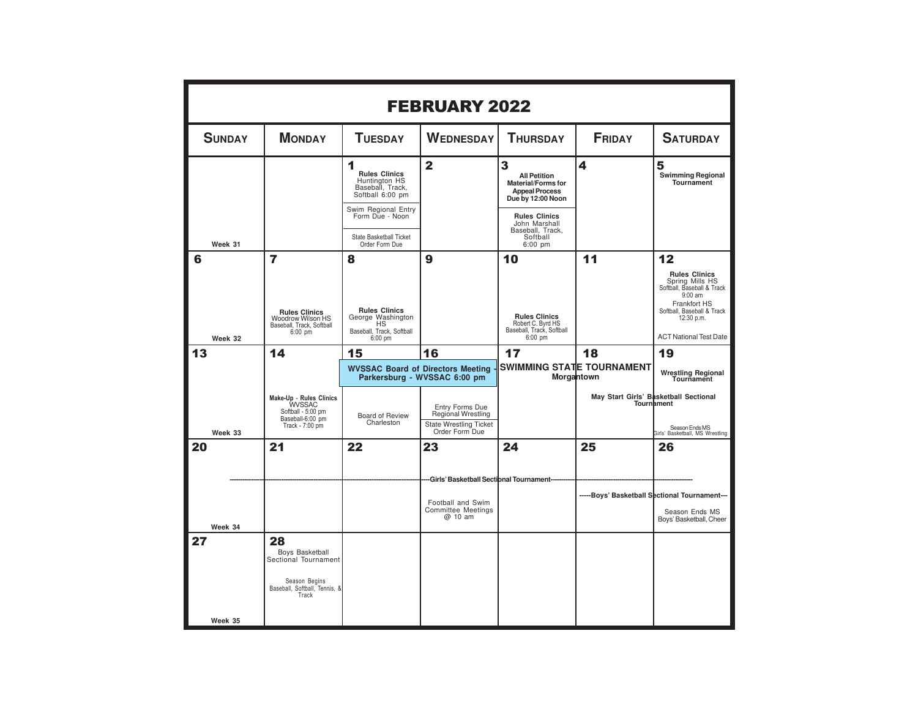|               |                                                                                                          |                                                                                                                                                                                  | <b>FEBRUARY 2022</b>                                                     |                                                                                                                                                                                           |                                         |                                                                                                                                                                                 |
|---------------|----------------------------------------------------------------------------------------------------------|----------------------------------------------------------------------------------------------------------------------------------------------------------------------------------|--------------------------------------------------------------------------|-------------------------------------------------------------------------------------------------------------------------------------------------------------------------------------------|-----------------------------------------|---------------------------------------------------------------------------------------------------------------------------------------------------------------------------------|
| <b>SUNDAY</b> | <b>MONDAY</b>                                                                                            | <b>TUESDAY</b>                                                                                                                                                                   | <b>WEDNESDAY</b>                                                         | <b>THURSDAY</b>                                                                                                                                                                           | <b>FRIDAY</b>                           | <b>SATURDAY</b>                                                                                                                                                                 |
| Week 31       |                                                                                                          | 1<br><b>Rules Clinics</b><br>Huntington HS<br>Baseball, Track,<br>Softball 6:00 pm<br>Swim Regional Entry<br>Form Due - Noon<br><b>State Basketball Ticket</b><br>Order Form Due | $\mathbf{2}$                                                             | 3<br><b>All Petition</b><br><b>Material/Forms for</b><br><b>Appeal Process</b><br>Due by 12:00 Noon<br><b>Rules Clinics</b><br>John Marshall<br>Baseball, Track,<br>Softball<br>$6:00$ pm | 4                                       | 5<br><b>Swimming Regional</b><br>Tournament                                                                                                                                     |
| 6             | 7                                                                                                        | 8                                                                                                                                                                                | 9                                                                        | 10                                                                                                                                                                                        | 11                                      | 12                                                                                                                                                                              |
| Week 32       | <b>Rules Clinics</b><br>Woodrow Wilson HS<br>Baseball, Track, Softball<br>$6:00$ pm                      | <b>Rules Clinics</b><br>George Washington<br>HS<br>Baseball, Track, Softball<br>6:00 pm                                                                                          |                                                                          | <b>Rules Clinics</b><br>Robert C. Byrd HS<br>Baseball, Track, Softball<br>$6:00$ pm                                                                                                       |                                         | <b>Rules Clinics</b><br>Spring Mills HS<br>Softball, Baseball & Track<br>$9:00$ am<br>Frankfort HS<br>Softball, Baseball & Track<br>12:30 p.m.<br><b>ACT National Test Date</b> |
| 13            | 14                                                                                                       | 15                                                                                                                                                                               | 16                                                                       | 17                                                                                                                                                                                        | 18                                      | 19                                                                                                                                                                              |
|               |                                                                                                          |                                                                                                                                                                                  | <b>WVSSAC Board of Directors Meeting</b><br>Parkersburg - WVSSAC 6:00 pm |                                                                                                                                                                                           | SWIMMING STATE TOURNAMENT<br>Morgantown | Wrestling Regional<br>Tournament                                                                                                                                                |
|               | Make-Up - Rules Clinics<br><b>WVSSAC</b>                                                                 |                                                                                                                                                                                  |                                                                          |                                                                                                                                                                                           |                                         | May Start Girls' Basketball Sectional<br><b>Tournament</b>                                                                                                                      |
|               | Softball - 5:00 pm<br>Baseball-6:00 pm<br>Track - 7:00 pm                                                | <b>Board of Review</b><br>Charleston                                                                                                                                             | Entry Forms Due<br>Regional Wrestling<br><b>State Wrestling Ticket</b>   |                                                                                                                                                                                           |                                         | Season Ends MS                                                                                                                                                                  |
| Week 33<br>20 | 21                                                                                                       | 22                                                                                                                                                                               | Order Form Due<br>23                                                     | 24                                                                                                                                                                                        | 25                                      | Girls' Basketball, MS Wrestling<br>26                                                                                                                                           |
|               |                                                                                                          |                                                                                                                                                                                  |                                                                          |                                                                                                                                                                                           |                                         |                                                                                                                                                                                 |
|               |                                                                                                          |                                                                                                                                                                                  | -Girls' Basketball Sectional Tournament-                                 |                                                                                                                                                                                           |                                         |                                                                                                                                                                                 |
|               |                                                                                                          |                                                                                                                                                                                  | Football and Swim                                                        |                                                                                                                                                                                           |                                         | -----Boys' Basketball Sectional Tournament---                                                                                                                                   |
| Week 34       |                                                                                                          |                                                                                                                                                                                  | <b>Committee Meetings</b><br>@ 10 am                                     |                                                                                                                                                                                           |                                         | Season Ends MS<br>Boys' Basketball, Cheer                                                                                                                                       |
| 27            | 28<br>Boys Basketball<br>Sectional Tournament<br>Season Begins<br>Baseball, Softball, Tennis, &<br>Track |                                                                                                                                                                                  |                                                                          |                                                                                                                                                                                           |                                         |                                                                                                                                                                                 |
| Week 35       |                                                                                                          |                                                                                                                                                                                  |                                                                          |                                                                                                                                                                                           |                                         |                                                                                                                                                                                 |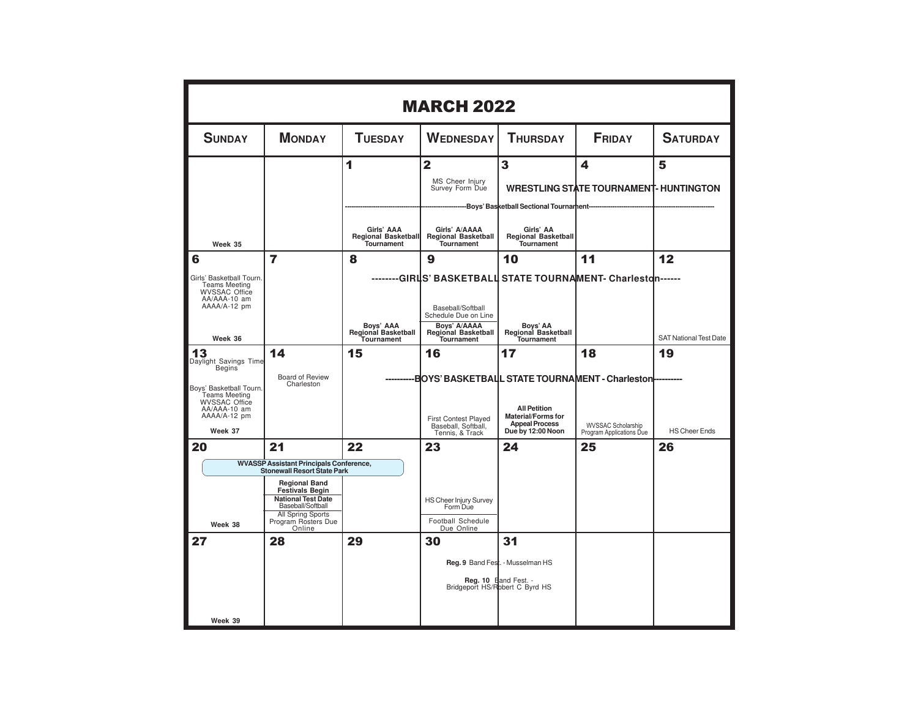|                                                                                                                                                         | <b>MARCH 2022</b>                                                                                                                                                                                                                                     |                                                            |                                                                                                                                                                                                                  |                                                                                                  |                                                    |                                     |  |  |  |
|---------------------------------------------------------------------------------------------------------------------------------------------------------|-------------------------------------------------------------------------------------------------------------------------------------------------------------------------------------------------------------------------------------------------------|------------------------------------------------------------|------------------------------------------------------------------------------------------------------------------------------------------------------------------------------------------------------------------|--------------------------------------------------------------------------------------------------|----------------------------------------------------|-------------------------------------|--|--|--|
| <b>SUNDAY</b>                                                                                                                                           | <b>MONDAY</b>                                                                                                                                                                                                                                         | <b>TUESDAY</b>                                             | <b>WEDNESDAY</b>                                                                                                                                                                                                 | <b>THURSDAY</b>                                                                                  | <b>FRIDAY</b>                                      | <b>SATURDAY</b>                     |  |  |  |
|                                                                                                                                                         |                                                                                                                                                                                                                                                       | 1                                                          | $\overline{2}$<br>MS Cheer Injury<br>Survey Form Due                                                                                                                                                             | 3<br>-Boys' Basketball Sectional Tournament--                                                    | 4<br><b>WRESTLING STATE TOURNAMENT- HUNTINGTON</b> | 5                                   |  |  |  |
| Week 35                                                                                                                                                 |                                                                                                                                                                                                                                                       | Girls' AAA<br>Regional Basketball<br><b>Tournament</b>     | Girls' A/AAAA<br><b>Regional Basketball</b><br><b>Tournament</b>                                                                                                                                                 | Girls' AA<br><b>Regional Basketball</b><br><b>Tournament</b>                                     |                                                    |                                     |  |  |  |
| 6<br>Girls' Basketball Tourn.<br><b>Teams Meeting</b><br><b>WVSSAC Office</b><br>AA/AAA-10 am<br>AAAA/A-12 pm<br>Week 36                                | 7                                                                                                                                                                                                                                                     | 8<br>Boys' AAA<br><b>Regional Basketball</b><br>Tournament | 9<br>--------GIRLS' BASKETBALL STATE TOURNAMENT-                                Charlestdn------<br>Baseball/Softball<br>Schedule Due on Line<br>Boys' A/AAAA<br><b>Regional Basketball</b><br><b>Tournament</b> | 10<br>Boys' AA<br>Regional Basketball<br><b>Tournament</b>                                       | 11                                                 | 12<br><b>SAT National Test Date</b> |  |  |  |
| 13<br>Daylight Savings Time<br><b>Begins</b><br>Boys' Basketball Tourn.<br><b>Teams Meeting</b><br><b>WVSSAC Office</b><br>AA/AAA-10 am<br>AAAA/A-12 pm | 14<br>Board of Review<br>Charleston                                                                                                                                                                                                                   | 15                                                         | 16<br><b>EOYS' BASKETBALL STATE TOURNAMENT - Charleston-</b><br>First Contest Played<br>Baseball, Softball,                                                                                                      | 17<br><b>All Petition</b><br><b>Material/Forms for</b><br><b>Appeal Process</b>                  | 18<br><b>WVSSAC Scholarship</b>                    | 19                                  |  |  |  |
| Week 37<br>20                                                                                                                                           | 21                                                                                                                                                                                                                                                    | 22                                                         | Tennis, & Track<br>23                                                                                                                                                                                            | Due by 12:00 Noon<br>24                                                                          | Program Applications Due<br>25                     | <b>HS Cheer Ends</b><br>26          |  |  |  |
| Week 38                                                                                                                                                 | <b>WVASSP Assistant Principals Conference,</b><br><b>Stonewall Resort State Park</b><br><b>Regional Band</b><br><b>Festivals Begin</b><br><b>National Test Date</b><br>Baseball/Softball<br><b>All Spring Sports</b><br>Program Rosters Due<br>Online |                                                            | HS Cheer Injury Survey<br>Form Due<br>Football Schedule<br>Due Online                                                                                                                                            |                                                                                                  |                                                    |                                     |  |  |  |
| 27<br>Week 39                                                                                                                                           | 28                                                                                                                                                                                                                                                    | 29                                                         | 30                                                                                                                                                                                                               | 31<br>Reg. 9 Band Fest. - Musselman HS<br>Reg. 10 Band Fest. -<br>Bridgeport HS/Robert C Byrd HS |                                                    |                                     |  |  |  |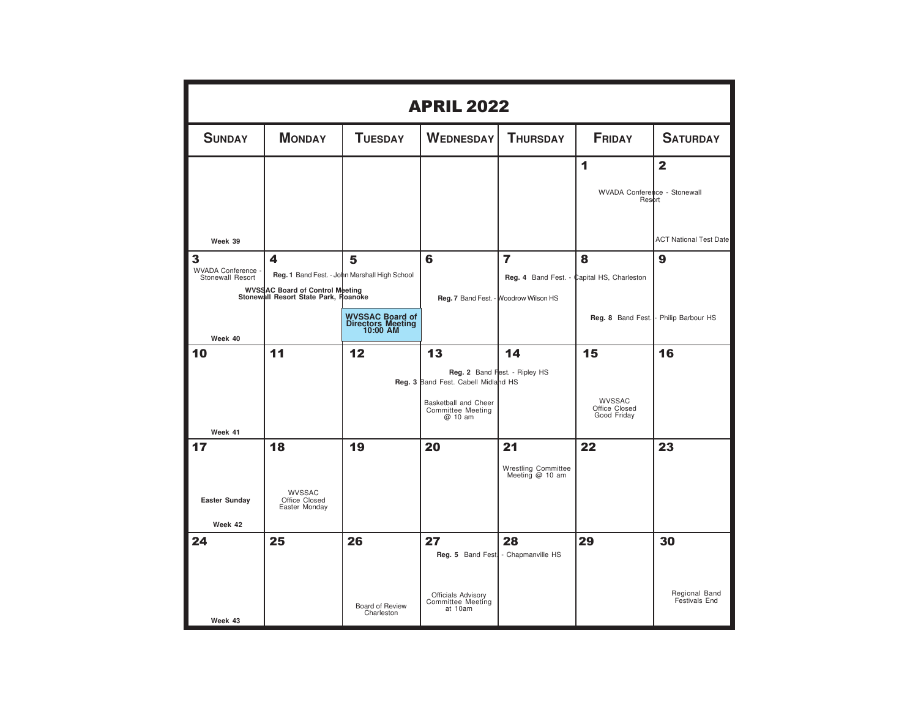| <b>APRIL 2022</b>                                    |                                                                         |                                                  |                                                      |                                                 |                                            |                                |  |  |
|------------------------------------------------------|-------------------------------------------------------------------------|--------------------------------------------------|------------------------------------------------------|-------------------------------------------------|--------------------------------------------|--------------------------------|--|--|
| <b>SUNDAY</b>                                        | <b>MONDAY</b>                                                           | <b>TUESDAY</b>                                   | <b>WEDNESDAY</b>                                     | <b>THURSDAY</b>                                 | <b>FRIDAY</b>                              | <b>SATURDAY</b>                |  |  |
|                                                      |                                                                         |                                                  |                                                      |                                                 | 1                                          | $\overline{2}$                 |  |  |
|                                                      |                                                                         |                                                  |                                                      |                                                 | WVADA Conference - Stonewall<br>Resort     |                                |  |  |
| Week 39                                              |                                                                         |                                                  |                                                      |                                                 |                                            | <b>ACT National Test Date</b>  |  |  |
| $\overline{\mathbf{3}}$<br><b>WVADA Conference -</b> | 4                                                                       | 5                                                | 6                                                    | $\overline{7}$                                  | 8                                          | 9                              |  |  |
| Stonewall Resort                                     |                                                                         | Reg. 1 Band Fest. - John Marshall High School    |                                                      |                                                 | Reg. 4 Band Fest. - Capital HS, Charleston |                                |  |  |
|                                                      | WVSSAC Board of Control Meeting<br>Stonewall Resort State Park, Roanoke |                                                  |                                                      | Reg. 7 Band Fest. - Woodrow Wilson HS           |                                            |                                |  |  |
|                                                      |                                                                         | WVSSAC Board of<br>Directors Meeting<br>10:00 AM |                                                      |                                                 | Reg. 8 Band Fest.                          | Philip Barbour HS              |  |  |
| Week 40<br>10                                        | 11                                                                      | 12                                               |                                                      | 14                                              |                                            | 16                             |  |  |
|                                                      |                                                                         |                                                  | 13                                                   |                                                 | 15                                         |                                |  |  |
|                                                      |                                                                         |                                                  | Reg. 3 Band Fest. Cabell Midland HS                  | Reg. 2 Band Fest. - Ripley HS                   |                                            |                                |  |  |
|                                                      |                                                                         |                                                  | Basketball and Cheer<br>Committee Meeting<br>@ 10 am |                                                 | WVSSAC<br>Office Closed<br>Good Friday     |                                |  |  |
| Week 41                                              | 18                                                                      |                                                  | 20                                                   |                                                 | 22                                         |                                |  |  |
| 17                                                   |                                                                         | 19                                               |                                                      | 21                                              |                                            | 23                             |  |  |
|                                                      |                                                                         |                                                  |                                                      | <b>Wrestling Committee</b><br>Meeting $@$ 10 am |                                            |                                |  |  |
| <b>Easter Sunday</b>                                 | WVSSAC<br>Office Closed<br>Easter Monday                                |                                                  |                                                      |                                                 |                                            |                                |  |  |
| Week 42                                              |                                                                         |                                                  |                                                      |                                                 |                                            |                                |  |  |
| 24                                                   | 25                                                                      | 26                                               | 27                                                   | 28<br>Reg. 5 Band Fest - Chapmanville HS        | 29                                         | 30                             |  |  |
| Week 43                                              |                                                                         | Board of Review<br>Charleston                    | Officials Advisory<br>Committee Meeting<br>at 10am   |                                                 |                                            | Regional Band<br>Festivals End |  |  |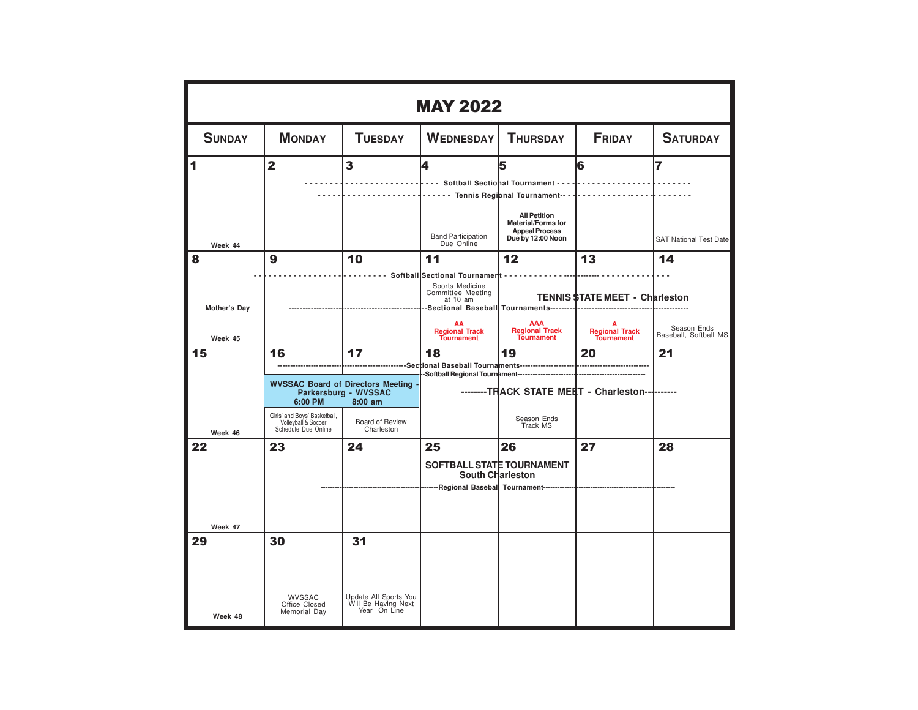|               | <b>MAY 2022</b>                                                                       |                                                                                                                                                      |                                                                                   |                                                                        |                                                 |                                            |  |  |  |  |
|---------------|---------------------------------------------------------------------------------------|------------------------------------------------------------------------------------------------------------------------------------------------------|-----------------------------------------------------------------------------------|------------------------------------------------------------------------|-------------------------------------------------|--------------------------------------------|--|--|--|--|
| <b>SUNDAY</b> | <b>MONDAY</b>                                                                         | <b>TUESDAY</b>                                                                                                                                       | <b>WEDNESDAY</b>                                                                  | <b>THURSDAY</b>                                                        | <b>FRIDAY</b>                                   | <b>SATURDAY</b>                            |  |  |  |  |
| 1             | $\overline{\mathbf{2}}$                                                               | 3                                                                                                                                                    | 4<br>   Softball Sectional Tournament                                             | 5<br><b>All Petition</b>                                               | 6<br>.                                          | 7                                          |  |  |  |  |
| Week 44<br>8  | 9                                                                                     | 10                                                                                                                                                   | <b>Band Participation</b><br>Due Online<br>11                                     | Material/Forms for<br><b>Appeal Process</b><br>Due by 12:00 Noon<br>12 | 13                                              | <b>SAT National Test Date</b><br>14        |  |  |  |  |
| Mother's Day  |                                                                                       | -----------------------                                                                                                                              | Softball Sectional Tournamert<br>Sports Medicine<br>Committee Meeting<br>at 10 am |                                                                        | <b>TENNIS \$TATE MEET - Charleston</b>          |                                            |  |  |  |  |
| Week 45<br>15 | 16                                                                                    | 17                                                                                                                                                   | AA<br><b>Regional Track</b><br><b>Tournament</b><br>18                            | <b>AAA</b><br>Regional Track<br>Tournament<br>19                       | A<br>Regional Track<br>Tournament<br>20         | Season Ends<br>Baseball, Softball MS<br>21 |  |  |  |  |
| Week 46       | 6:00 PM<br>Girls' and Boys' Basketball,<br>Volleyball & Soccer<br>Schedule Due Online | ----------------------------------<br><b>WVSSAC Board of Directors Meeting</b><br>Parkersburg - WVSSAC<br>$8:00$ am<br>Board of Review<br>Charleston |                                                                                   | Season Ends<br>Track MS                                                | --------TRACK STATE MEET - Charleston---------- |                                            |  |  |  |  |
| 22<br>Week 47 | 23                                                                                    | 24                                                                                                                                                   | 25<br>---Regional Basebal Tournament-----                                         | 26<br>SOFTBALL STATE TOURNAMENT<br>South Charleston                    | 27                                              | 28                                         |  |  |  |  |
| 29<br>Week 48 | 30<br><b>WVSSAC</b><br>Office Closed<br>Memorial Day                                  | 31<br>Update All Sports You<br>Will Be Having Next<br>Year On Line                                                                                   |                                                                                   |                                                                        |                                                 |                                            |  |  |  |  |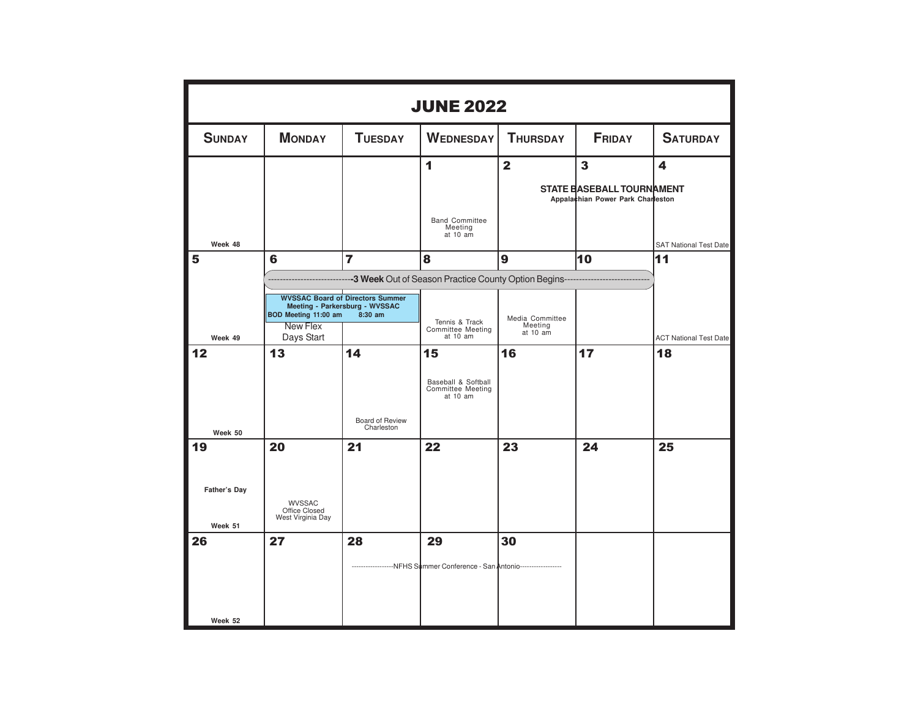| <b>JUNE 2022</b>               |                                                     |                                                                                      |                                                                          |                                        |                                                                       |                                     |  |  |
|--------------------------------|-----------------------------------------------------|--------------------------------------------------------------------------------------|--------------------------------------------------------------------------|----------------------------------------|-----------------------------------------------------------------------|-------------------------------------|--|--|
| <b>SUNDAY</b>                  | <b>MONDAY</b>                                       | <b>TUESDAY</b>                                                                       | <b>WEDNESDAY</b>                                                         | <b>THURSDAY</b>                        | <b>FRIDAY</b>                                                         | <b>SATURDAY</b>                     |  |  |
|                                |                                                     |                                                                                      | 1                                                                        | $\overline{2}$                         | $\overline{\mathbf{3}}$                                               | 4                                   |  |  |
|                                |                                                     |                                                                                      |                                                                          |                                        | <b>STATE BASEBALL TOURNAMENT</b><br>Appalachian Power Park Charleston |                                     |  |  |
| Week 48                        |                                                     |                                                                                      | <b>Band Committee</b><br>Meeting<br>at 10 am                             |                                        |                                                                       | <b>SAT National Test Date</b>       |  |  |
| 5                              | 6                                                   | $\overline{7}$                                                                       | 8                                                                        | 9                                      | 10                                                                    | 11                                  |  |  |
|                                |                                                     |                                                                                      | --- 3 Week Out of Season Practice County Option Begins-----              |                                        |                                                                       |                                     |  |  |
|                                | BOD Meeting 11:00 am<br><b>New Flex</b>             | <b>WVSSAC Board of Directors Summer</b><br>Meeting - Parkersburg - WVSSAC<br>8:30 am | Tennis & Track<br>Committee Meeting                                      | Media Committee<br>Meeting<br>at 10 am |                                                                       |                                     |  |  |
| Week 49<br>12                  | Days Start<br>13                                    | 14                                                                                   | at 10 am<br>15                                                           | 16                                     | 17                                                                    | <b>ACT National Test Date</b><br>18 |  |  |
| Week 50                        |                                                     | Board of Review<br>Charleston                                                        | Baseball & Softball<br>Committee Meeting<br>at 10 am                     |                                        |                                                                       |                                     |  |  |
| 19                             | 20                                                  | 21                                                                                   | 22                                                                       | 23                                     | 24                                                                    | 25                                  |  |  |
| <b>Father's Day</b><br>Week 51 | <b>WVSSAC</b><br>Office Closed<br>West Virginia Day |                                                                                      |                                                                          |                                        |                                                                       |                                     |  |  |
| 26                             | 27                                                  | 28                                                                                   | 29                                                                       | 30                                     |                                                                       |                                     |  |  |
| Week 52                        |                                                     |                                                                                      | ------------------NFHS Summer Conference - San Antonio------------------ |                                        |                                                                       |                                     |  |  |